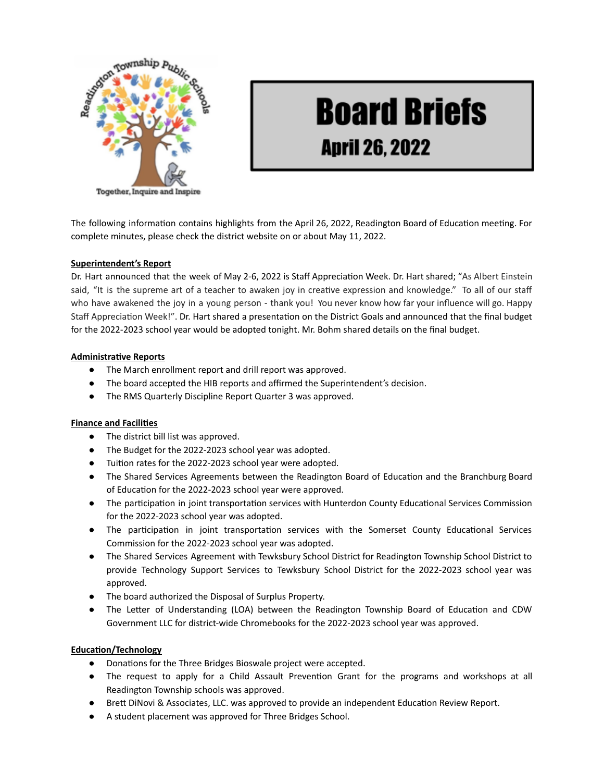

# **Board Briefs April 26, 2022**

The following information contains highlights from the April 26, 2022, Readington Board of Education meeting. For complete minutes, please check the district website on or about May 11, 2022.

## **Superintendent's Report**

Dr. Hart announced that the week of May 2-6, 2022 is Staff Appreciation Week. Dr. Hart shared; "As Albert Einstein said, "It is the supreme art of a teacher to awaken joy in creative expression and knowledge." To all of our staff who have awakened the joy in a young person - thank you! You never know how far your influence will go. Happy Staff Appreciation Week!". Dr. Hart shared a presentation on the District Goals and announced that the final budget for the 2022-2023 school year would be adopted tonight. Mr. Bohm shared details on the final budget.

## **Administrative Reports**

- The March enrollment report and drill report was approved.
- The board accepted the HIB reports and affirmed the Superintendent's decision.
- The RMS Quarterly Discipline Report Quarter 3 was approved.

## **Finance and Facilies**

- The district bill list was approved.
- The Budget for the 2022-2023 school year was adopted.
- Tuion rates for the 2022-2023 school year were adopted.
- The Shared Services Agreements between the Readington Board of Education and the Branchburg Board of Education for the 2022-2023 school year were approved.
- The participation in joint transportation services with Hunterdon County Educational Services Commission for the 2022-2023 school year was adopted.
- The participation in joint transportation services with the Somerset County Educational Services Commission for the 2022-2023 school year was adopted.
- The Shared Services Agreement with Tewksbury School District for Readington Township School District to provide Technology Support Services to Tewksbury School District for the 2022-2023 school year was approved.
- The board authorized the Disposal of Surplus Property.
- The Letter of Understanding (LOA) between the Readington Township Board of Education and CDW Government LLC for district-wide Chromebooks for the 2022-2023 school year was approved.

## **Education/Technology**

- Donations for the Three Bridges Bioswale project were accepted.
- The request to apply for a Child Assault Prevention Grant for the programs and workshops at all Readington Township schools was approved.
- Brett DiNovi & Associates, LLC. was approved to provide an independent Education Review Report.
- A student placement was approved for Three Bridges School.